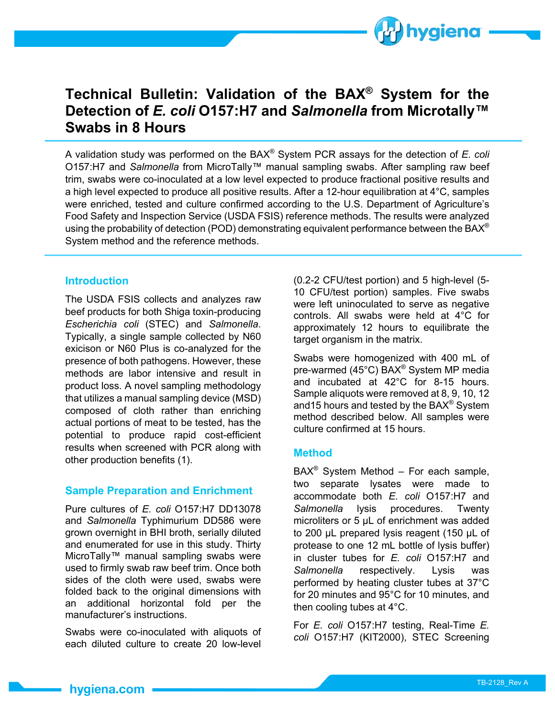

# **Technical Bulletin: Validation of the BAX® System for the Detection of** *E. coli* **O157:H7 and** *Salmonella* **from Microtally™ Swabs in 8 Hours**

A validation study was performed on the BAX® System PCR assays for the detection of *E. coli* O157:H7 and *Salmonella* from MicroTally™ manual sampling swabs. After sampling raw beef trim, swabs were co-inoculated at a low level expected to produce fractional positive results and a high level expected to produce all positive results. After a 12-hour equilibration at 4°C, samples were enriched, tested and culture confirmed according to the U.S. Department of Agriculture's Food Safety and Inspection Service (USDA FSIS) reference methods. The results were analyzed using the probability of detection (POD) demonstrating equivalent performance between the BAX<sup>®</sup> System method and the reference methods.

# **Introduction**

The USDA FSIS collects and analyzes raw beef products for both Shiga toxin-producing *Escherichia coli* (STEC) and *Salmonella*. Typically, a single sample collected by N60 exicison or N60 Plus is co-analyzed for the presence of both pathogens. However, these methods are labor intensive and result in product loss. A novel sampling methodology that utilizes a manual sampling device (MSD) composed of cloth rather than enriching actual portions of meat to be tested, has the potential to produce rapid cost-efficient results when screened with PCR along with other production benefits (1).

## **Sample Preparation and Enrichment**

Pure cultures of *E. coli* O157:H7 DD13078 and *Salmonella* Typhimurium DD586 were grown overnight in BHI broth, serially diluted and enumerated for use in this study. Thirty MicroTally™ manual sampling swabs were used to firmly swab raw beef trim. Once both sides of the cloth were used, swabs were folded back to the original dimensions with an additional horizontal fold per the manufacturer's instructions.

Swabs were co-inoculated with aliquots of each diluted culture to create 20 low-level

(0.2-2 CFU/test portion) and 5 high-level (5- 10 CFU/test portion) samples. Five swabs were left uninoculated to serve as negative controls. All swabs were held at 4°C for approximately 12 hours to equilibrate the target organism in the matrix.

Swabs were homogenized with 400 mL of pre-warmed (45°C) BAX® System MP media and incubated at 42°C for 8-15 hours. Sample aliquots were removed at 8, 9, 10, 12 and15 hours and tested by the BAX<sup>®</sup> System method described below. All samples were culture confirmed at 15 hours.

#### **Method**

 $BAX^@$  System Method - For each sample, two separate lysates were made to accommodate both *E. coli* O157:H7 and *Salmonella* lysis procedures. Twenty microliters or 5 µL of enrichment was added to 200 µL prepared lysis reagent (150 µL of protease to one 12 mL bottle of lysis buffer) in cluster tubes for *E. coli* O157:H7 and *Salmonella* respectively. Lysis was performed by heating cluster tubes at 37°C for 20 minutes and 95°C for 10 minutes, and then cooling tubes at 4°C.

For *E. coli* O157:H7 testing, Real-Time *E. coli* O157:H7 (KIT2000), STEC Screening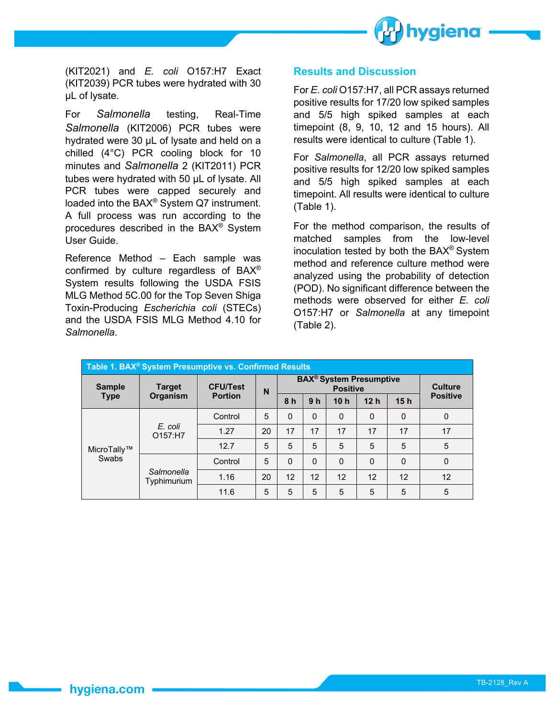

(KIT2021) and *E. coli* O157:H7 Exact (KIT2039) PCR tubes were hydrated with 30 µL of lysate.

For *Salmonella* testing, Real-Time *Salmonella* (KIT2006) PCR tubes were hydrated were 30 µL of lysate and held on a chilled (4°C) PCR cooling block for 10 minutes and *Salmonella* 2 (KIT2011) PCR tubes were hydrated with 50 µL of lysate. All PCR tubes were capped securely and loaded into the BAX® System Q7 instrument. A full process was run according to the procedures described in the BAX® System User Guide.

Reference Method – Each sample was confirmed by culture regardless of BAX® System results following the USDA FSIS MLG Method 5C.00 for the Top Seven Shiga Toxin-Producing *Escherichia coli* (STECs) and the USDA FSIS MLG Method 4.10 for *Salmonella*.

## **Results and Discussion**

For *E. coli* O157:H7, all PCR assays returned positive results for 17/20 low spiked samples and 5/5 high spiked samples at each timepoint (8, 9, 10, 12 and 15 hours). All results were identical to culture (Table 1).

For *Salmonella*, all PCR assays returned positive results for 12/20 low spiked samples and 5/5 high spiked samples at each timepoint. All results were identical to culture (Table 1).

For the method comparison, the results of matched samples from the low-level inoculation tested by both the BAX® System method and reference culture method were analyzed using the probability of detection (POD). No significant difference between the methods were observed for either *E. coli* O157:H7 or *Salmonella* at any timepoint (Table 2).

| Table 1. BAX <sup>®</sup> System Presumptive vs. Confirmed Results |                           |                                   |    |                                                              |                |                 |                 |          |                 |  |  |
|--------------------------------------------------------------------|---------------------------|-----------------------------------|----|--------------------------------------------------------------|----------------|-----------------|-----------------|----------|-----------------|--|--|
| <b>Sample</b><br><b>Type</b>                                       | <b>Target</b><br>Organism | <b>CFU/Test</b><br><b>Portion</b> | N  | <b>BAX<sup>®</sup></b> System Presumptive<br><b>Positive</b> |                |                 |                 |          | <b>Culture</b>  |  |  |
|                                                                    |                           |                                   |    | 8 <sub>h</sub>                                               | 9 <sub>h</sub> | 10 <sub>h</sub> | 12 <sub>h</sub> | 15h      | <b>Positive</b> |  |  |
| MicroTally™<br>Swabs                                               | E. coli<br>O157:H7        | Control                           | 5  | $\Omega$                                                     | $\Omega$       | $\Omega$        | $\mathbf{0}$    | $\Omega$ | 0               |  |  |
|                                                                    |                           | 1.27                              | 20 | 17                                                           | 17             | 17              | 17              | 17       | 17              |  |  |
|                                                                    |                           | 12.7                              | 5  | 5                                                            | 5              | 5               | 5               | 5        | 5               |  |  |
|                                                                    | Salmonella<br>Typhimurium | Control                           | 5  | $\Omega$                                                     | $\Omega$       | $\mathbf{0}$    | $\mathbf{0}$    | $\Omega$ | 0               |  |  |
|                                                                    |                           | 1.16                              | 20 | 12                                                           | 12             | 12              | 12              | 12       | 12              |  |  |
|                                                                    |                           | 11.6                              | 5  | 5                                                            | 5              | 5               | 5               | 5        | 5               |  |  |